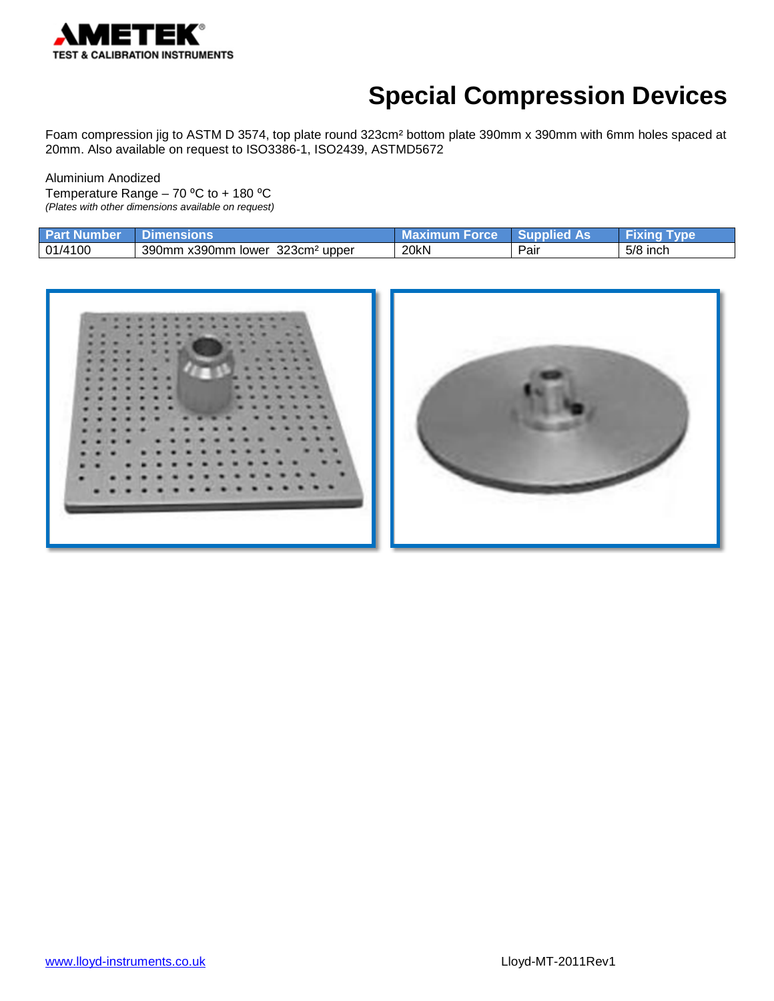

# **Special Compression Devices**

Foam compression jig to ASTM D 3574, top plate round 323cm² bottom plate 390mm x 390mm with 6mm holes spaced at 20mm. Also available on request to ISO3386-1, ISO2439, ASTMD5672

Aluminium Anodized Temperature Range – 70 °C to + 180 °C *(Plates with other dimensions available on request)*

| <b>Part Number</b> | <b>imensions</b>                               | Maximum Force | <b>Supplied As</b> | I vpe      |
|--------------------|------------------------------------------------|---------------|--------------------|------------|
| 01/4100            | 390mm x390mm lower<br>323cm <sup>2</sup> upper | 20kN          | Pair               | $5/8$ inch |

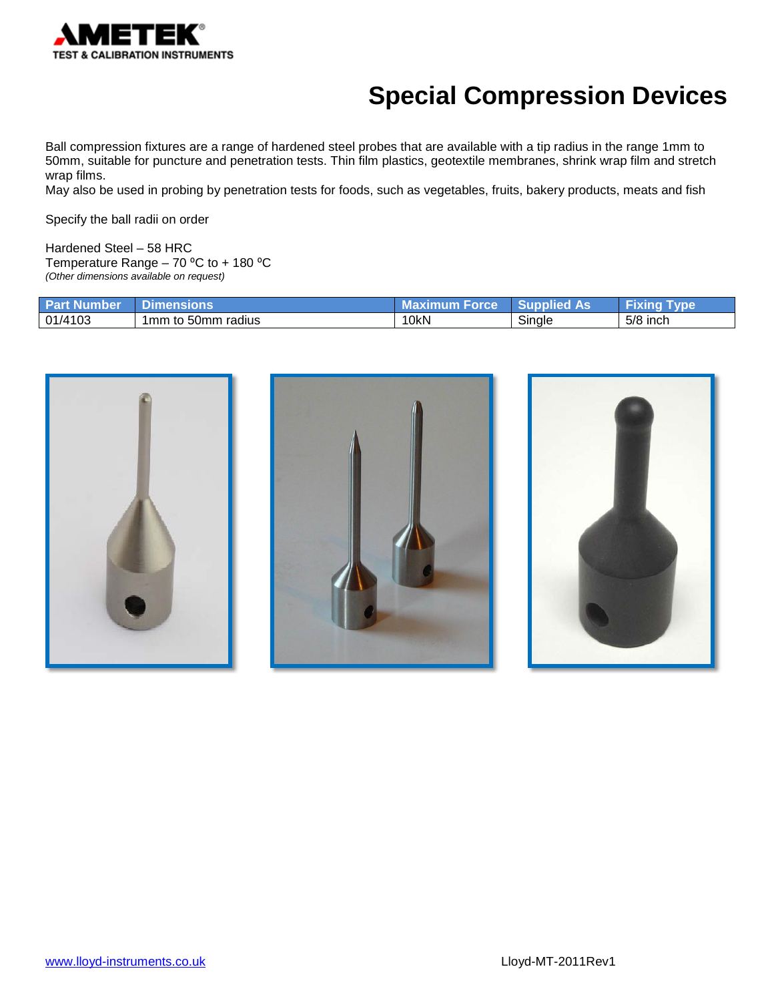

## **Special Compression Devices**

Ball compression fixtures are a range of hardened steel probes that are available with a tip radius in the range 1mm to 50mm, suitable for puncture and penetration tests. Thin film plastics, geotextile membranes, shrink wrap film and stretch wrap films.

May also be used in probing by penetration tests for foods, such as vegetables, fruits, bakery products, meats and fish

Specify the ball radii on order

Hardened Steel – 58 HRC Temperature Range  $-70$  °C to  $+180$  °C *(Other dimensions available on request)*

| <b>Part Number</b> | <b>∕Dimensions</b> | 7 Maximum Force∡ | <b>Supplied As</b> | Fixing Type |
|--------------------|--------------------|------------------|--------------------|-------------|
| 01/4103            | 1mm to 50mm radius | 10 <sub>kN</sub> | Single             | 5/8 inch    |

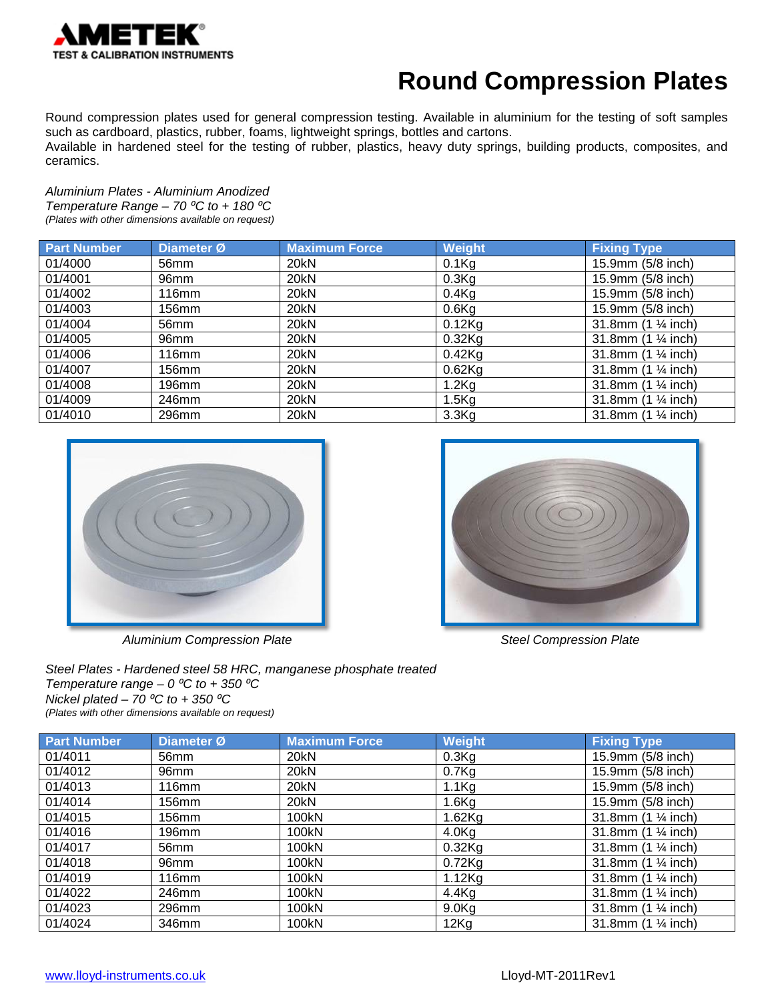

#### **Round Compression Plates**

Round compression plates used for general compression testing. Available in aluminium for the testing of soft samples such as cardboard, plastics, rubber, foams, lightweight springs, bottles and cartons.

Available in hardened steel for the testing of rubber, plastics, heavy duty springs, building products, composites, and ceramics.

*Aluminium Plates - Aluminium Anodized Temperature Range – 70 ⁰C to + 180 ⁰C (Plates with other dimensions available on request)*

| <b>Part Number</b> | Diameter Ø       | <b>Maximum Force</b> | <b>Weight</b> | <b>Fixing Type</b>  |
|--------------------|------------------|----------------------|---------------|---------------------|
| 01/4000            | 56mm             | 20kN                 | $0.1$ Kg      | 15.9mm (5/8 inch)   |
| 01/4001            | 96 <sub>mm</sub> | 20kN                 | $0.3$ Kg      | 15.9mm (5/8 inch)   |
| 01/4002            | 116mm            | 20kN                 | $0.4$ Kg      | 15.9mm (5/8 inch)   |
| 01/4003            | 156mm            | 20kN                 | $0.6$ Kg      | 15.9mm (5/8 inch)   |
| 01/4004            | 56mm             | 20kN                 | $0.12$ Kg     | 31.8mm (1 1/4 inch) |
| 01/4005            | 96 <sub>mm</sub> | 20kN                 | $0.32$ Kg     | 31.8mm (1 1/4 inch) |
| 01/4006            | 116mm            | 20kN                 | $0.42$ Kg     | 31.8mm (1 1/4 inch) |
| 01/4007            | 156mm            | 20kN                 | $0.62$ Kg     | 31.8mm (1 1/4 inch) |
| 01/4008            | 196mm            | 20kN                 | $1.2$ Kg      | 31.8mm (1 1/4 inch) |
| 01/4009            | 246mm            | 20kN                 | 1.5Kg         | 31.8mm (1 1/4 inch) |
| 01/4010            | 296mm            | 20kN                 | 3.3Kg         | 31.8mm (1 1/4 inch) |



Aluminium Compression Plate **Steel Compression Plate** Steel Compression Plate



*Steel Plates - Hardened steel 58 HRC, manganese phosphate treated Temperature range – 0*  $\mathrm{^oC}$  *to + 350*  $\mathrm{^oC}$  $Nickel$  plated –  $70 °C$  to + 350  $°C$ *(Plates with other dimensions available on request)*

| <b>Part Number</b> | Diameter Ø        | <b>Maximum Force</b> | Weight            | <b>Fixing Type</b>                    |
|--------------------|-------------------|----------------------|-------------------|---------------------------------------|
| 01/4011            | 56mm              | 20kN                 | $0.3$ Kg          | 15.9mm (5/8 inch)                     |
| 01/4012            | 96mm              | 20kN                 | 0.7Kg             | 15.9mm (5/8 inch)                     |
| 01/4013            | 116mm             | 20kN                 | 1.1 <sub>kg</sub> | 15.9mm (5/8 inch)                     |
| 01/4014            | 156mm             | 20kN                 | $1.6$ Kg          | 15.9mm (5/8 inch)                     |
| 01/4015            | 156 <sub>mm</sub> | 100kN                | $1.62$ Kg         | 31.8mm (1 1/4 inch)                   |
| 01/4016            | 196mm             | 100kN                | 4.0 <sub>g</sub>  | 31.8mm $(1 \frac{1}{4}$ inch)         |
| 01/4017            | 56mm              | 100kN                | $0.32$ Kg         | 31.8mm $(1 \frac{1}{4}$ inch)         |
| 01/4018            | 96mm              | 100kN                | $0.72$ Kg         | 31.8mm $(1 \frac{1}{4}$ inch)         |
| 01/4019            | <b>116mm</b>      | 100kN                | $1.12$ Kg         | 31.8mm $(1 \frac{1}{4}$ inch)         |
| 01/4022            | 246mm             | 100kN                | $4.4$ Kg          | 31.8mm $(1 \frac{1}{4}$ inch)         |
| 01/4023            | 296mm             | 100kN                | 9.0 <sub>g</sub>  | 31.8mm (1 1/4 inch)                   |
| 01/4024            | 346mm             | 100kN                | 12Kg              | 31.8mm $(1 \frac{1}{4} \text{ inch})$ |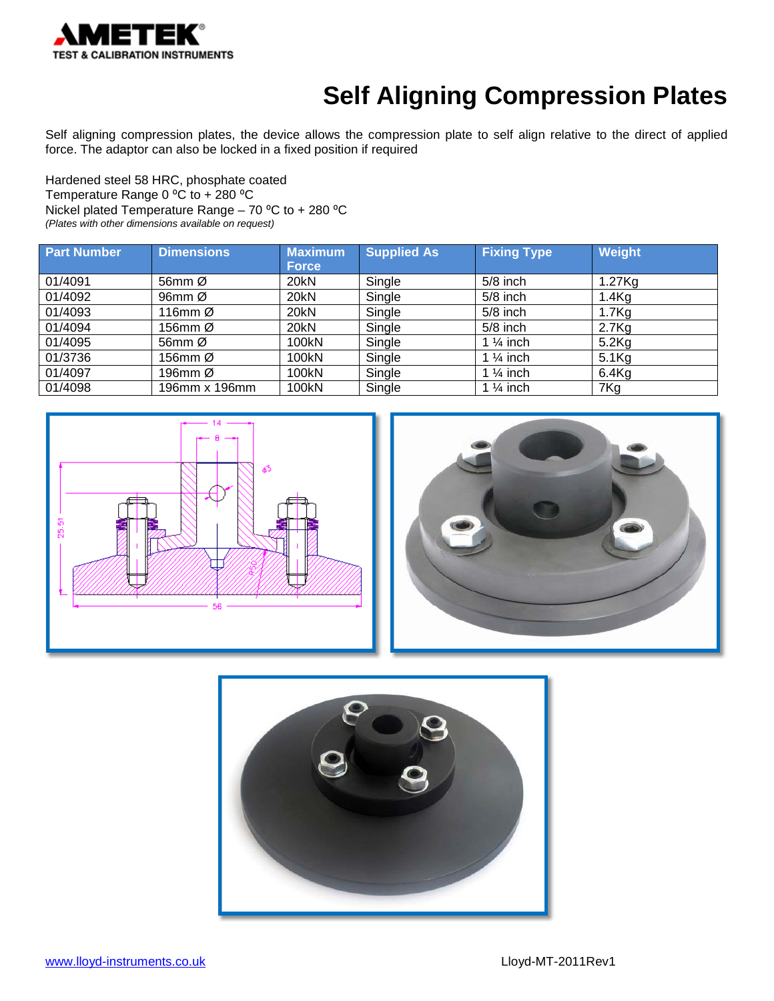

# **Self Aligning Compression Plates**

Self aligning compression plates, the device allows the compression plate to self align relative to the direct of applied force. The adaptor can also be locked in a fixed position if required

Hardened steel 58 HRC, phosphate coated Temperature Range 0 °C to + 280 °C Nickel plated Temperature Range – 70  $^{\circ}$ C to + 280  $^{\circ}$ C *(Plates with other dimensions available on request)*

| <b>Part Number</b> | <b>Dimensions</b> | <b>Maximum</b> | <b>Supplied As</b> | <b>Fixing Type</b>   | Weight            |
|--------------------|-------------------|----------------|--------------------|----------------------|-------------------|
|                    |                   | <b>Force</b>   |                    |                      |                   |
| 01/4091            | 56mm Ø            | 20kN           | Single             | $5/8$ inch           | 1.27Kg            |
| 01/4092            | 96 $mm$ Ø         | 20kN           | Single             | $5/8$ inch           | $1.4$ Kg          |
| 01/4093            | 116 $mm$ $Ø$      | 20kN           | Single             | $5/8$ inch           | 1.7 <sub>Kg</sub> |
| 01/4094            | 156mm Ø           | 20kN           | Single             | $5/8$ inch           | $2.7$ Kg          |
| 01/4095            | 56mm Ø            | 100kN          | Single             | 1 $\frac{1}{4}$ inch | $5.2$ Kg          |
| 01/3736            | 156mm Ø           | 100kN          | Single             | 1 $\frac{1}{4}$ inch | $5.1$ Kg          |
| 01/4097            | 196mm Ø           | 100kN          | Single             | 1 $\frac{1}{4}$ inch | $6.4$ Kg          |
| 01/4098            | 196mm x 196mm     | 100kN          | Single             | 1 $\frac{1}{4}$ inch | 7Kg               |





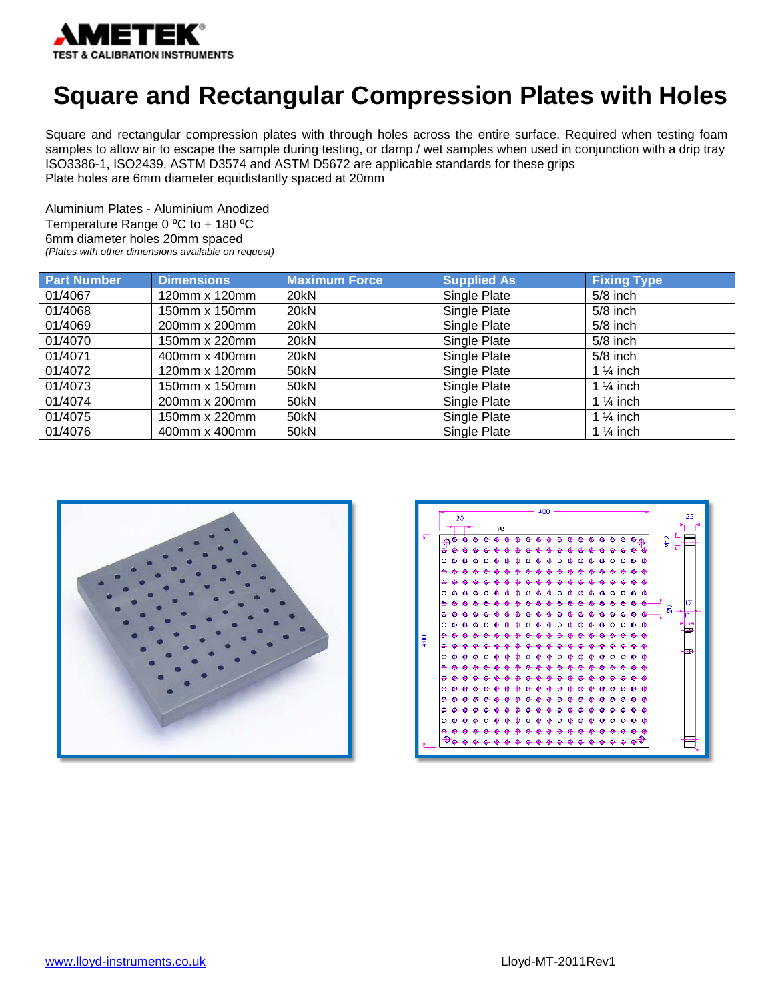

#### **Square and Rectangular Compression Plates with Holes**

Square and rectangular compression plates with through holes across the entire surface. Required when testing foam samples to allow air to escape the sample during testing, or damp / wet samples when used in conjunction with a drip tray ISO3386-1, ISO2439, ASTM D3574 and ASTM D5672 are applicable standards for these grips Plate holes are 6mm diameter equidistantly spaced at 20mm

Aluminium Plates - Aluminium Anodized Temperature Range  $0^{\circ}$ C to + 180  $^{\circ}$ C 6mm diameter holes 20mm spaced *(Plates with other dimensions available on request)*

| <b>Part Number</b> | <b>Dimensions</b> | <b>Maximum Force</b> | <b>Supplied As</b> | <b>Fixing Type</b>   |
|--------------------|-------------------|----------------------|--------------------|----------------------|
| 01/4067            | 120mm x 120mm     | 20kN                 | Single Plate       | $5/8$ inch           |
| 01/4068            | 150mm x 150mm     | 20kN                 | Single Plate       | $5/8$ inch           |
| 01/4069            | 200mm x 200mm     | 20kN                 | Single Plate       | $5/8$ inch           |
| 01/4070            | 150mm x 220mm     | 20kN                 | Single Plate       | $5/8$ inch           |
| 01/4071            | 400mm x 400mm     | 20kN                 | Single Plate       | $5/8$ inch           |
| 01/4072            | 120mm x 120mm     | 50kN                 | Single Plate       | 1 $\frac{1}{4}$ inch |
| 01/4073            | 150mm x 150mm     | 50kN                 | Single Plate       | 1 $\frac{1}{4}$ inch |
| 01/4074            | 200mm x 200mm     | 50kN                 | Single Plate       | 1 $\frac{1}{4}$ inch |
| 01/4075            | 150mm x 220mm     | 50kN                 | Single Plate       | 1 $\frac{1}{4}$ inch |
| 01/4076            | 400mm x 400mm     | 50kN                 | Single Plate       | 1 $\frac{1}{4}$ inch |



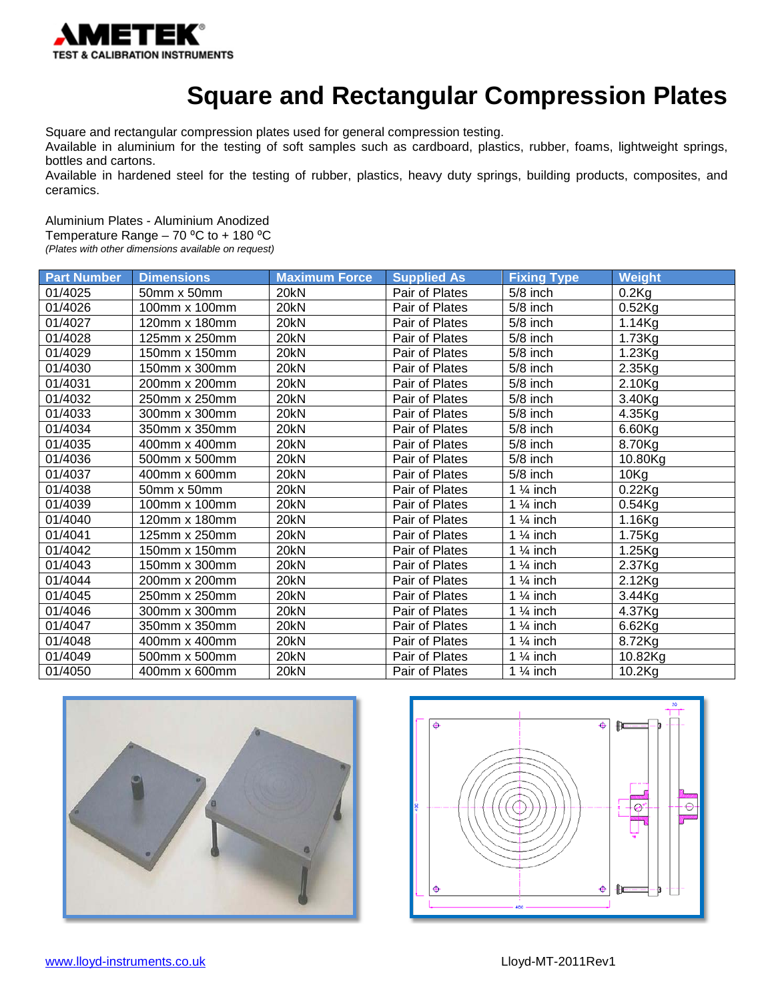

## **Square and Rectangular Compression Plates**

Square and rectangular compression plates used for general compression testing.

Available in aluminium for the testing of soft samples such as cardboard, plastics, rubber, foams, lightweight springs, bottles and cartons.

Available in hardened steel for the testing of rubber, plastics, heavy duty springs, building products, composites, and ceramics.

Aluminium Plates - Aluminium Anodized

Temperature Range  $-70$  °C to  $+180$  °C

*(Plates with other dimensions available on request)*

| <b>Part Number</b> | <b>Dimensions</b> | <b>Maximum Force</b> | <b>Supplied As</b> | <b>Fixing Type</b>    | Weight               |
|--------------------|-------------------|----------------------|--------------------|-----------------------|----------------------|
| 01/4025            | 50mm x 50mm       | 20kN                 | Pair of Plates     | 5/8 inch              | $0.2$ Kg             |
| 01/4026            | 100mm x 100mm     | 20kN                 | Pair of Plates     | 5/8 inch              | $0.52$ Kg            |
| 01/4027            | 120mm x 180mm     | 20 <sub>kN</sub>     | Pair of Plates     | $5/8$ inch            | 1.14Kg               |
| 01/4028            | 125mm x 250mm     | 20kN                 | Pair of Plates     | $5/8$ inch            | $1.73$ Kg            |
| 01/4029            | 150mm x 150mm     | 20kN                 | Pair of Plates     | 5/8 inch              | 1.23Kg               |
| 01/4030            | 150mm x 300mm     | 20kN                 | Pair of Plates     | 5/8 inch              | 2.35Kg               |
| 01/4031            | 200mm x 200mm     | 20kN                 | Pair of Plates     | 5/8 inch              | 2.10Kg               |
| 01/4032            | 250mm x 250mm     | 20kN                 | Pair of Plates     | 5/8 inch              | 3.40Kg               |
| 01/4033            | 300mm x 300mm     | 20kN                 | Pair of Plates     | 5/8 inch              | 4.35Kg               |
| 01/4034            | 350mm x 350mm     | 20kN                 | Pair of Plates     | 5/8 inch              | 6.60Kg               |
| 01/4035            | 400mm x 400mm     | 20 <sub>kN</sub>     | Pair of Plates     | $5/8$ inch            | 8.70Kg               |
| 01/4036            | 500mm x 500mm     | 20kN                 | Pair of Plates     | 5/8 inch              | 10.80Kg              |
| 01/4037            | 400mm x 600mm     | 20kN                 | Pair of Plates     | 5/8 inch              | 10Kg                 |
| 01/4038            | 50mm x 50mm       | 20kN                 | Pair of Plates     | 1 $\frac{1}{4}$ inch  | $0.22$ Kg            |
| 01/4039            | 100mm x 100mm     | 20kN                 | Pair of Plates     | 1 $\frac{1}{4}$ inch  | $0.54$ Kg            |
| 01/4040            | 120mm x 180mm     | 20kN                 | Pair of Plates     | $\overline{1}$ % inch | $\overline{1.16}$ Kg |
| 01/4041            | 125mm x 250mm     | 20kN                 | Pair of Plates     | 1 $\frac{1}{4}$ inch  | 1.75Kg               |
| 01/4042            | 150mm x 150mm     | 20kN                 | Pair of Plates     | 1 $\frac{1}{4}$ inch  | 1.25Kg               |
| 01/4043            | 150mm x 300mm     | 20kN                 | Pair of Plates     | 1 $\frac{1}{4}$ inch  | 2.37Kg               |
| 01/4044            | 200mm x 200mm     | 20kN                 | Pair of Plates     | 1 $\frac{1}{4}$ inch  | 2.12Kg               |
| 01/4045            | 250mm x 250mm     | 20kN                 | Pair of Plates     | 1 $\frac{1}{4}$ inch  | $3.44$ Kg            |
| 01/4046            | 300mm x 300mm     | 20kN                 | Pair of Plates     | 1 $\frac{1}{4}$ inch  | 4.37Kg               |
| 01/4047            | 350mm x 350mm     | 20kN                 | Pair of Plates     | 1 $\frac{1}{4}$ inch  | 6.62Kg               |
| 01/4048            | 400mm x 400mm     | 20kN                 | Pair of Plates     | 1 $\frac{1}{4}$ inch  | 8.72Kg               |
| 01/4049            | 500mm x 500mm     | 20kN                 | Pair of Plates     | 1 $\frac{1}{4}$ inch  | 10.82Kg              |
| 01/4050            | 400mm x 600mm     | 20kN                 | Pair of Plates     | 1 $\frac{1}{4}$ inch  | 10.2Kg               |



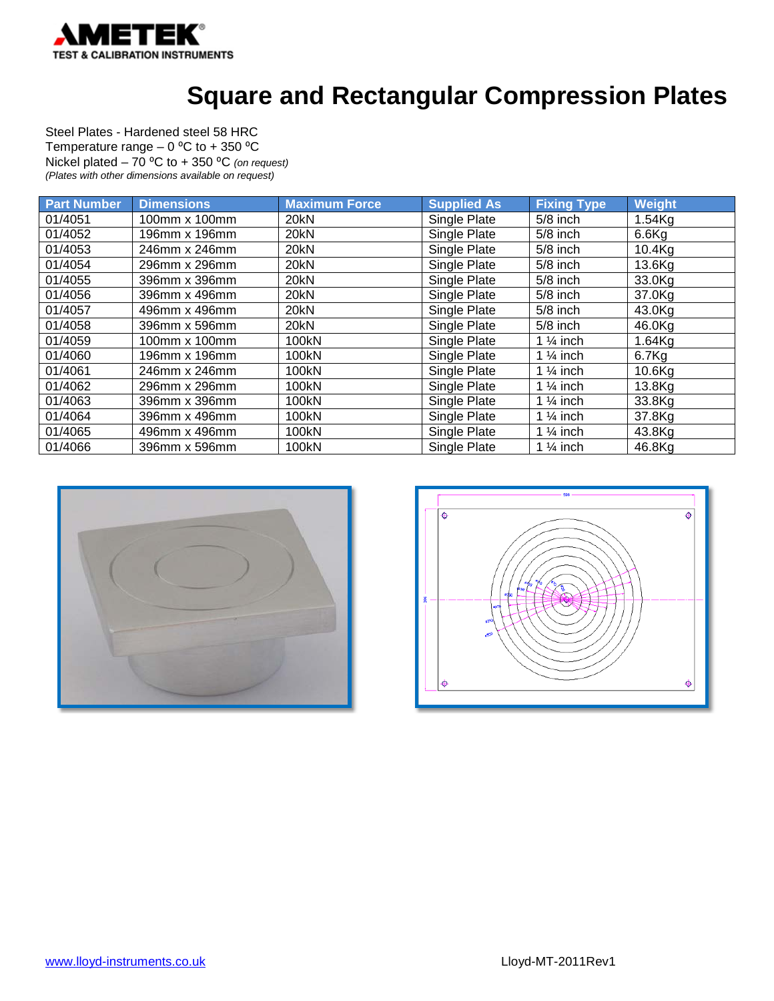

#### **Square and Rectangular Compression Plates**

Steel Plates - Hardened steel 58 HRC Temperature range  $-0$  °C to  $+350$  °C Nickel plated – 70 ⁰C to + 350 ⁰C *(on request) (Plates with other dimensions available on request)*

| <b>Part Number</b> | <b>Dimensions</b> | <b>Maximum Force</b> | <b>Supplied As</b> | <b>Fixing Type</b>   | Weight    |
|--------------------|-------------------|----------------------|--------------------|----------------------|-----------|
| 01/4051            | 100mm x 100mm     | 20kN                 | Single Plate       | $5/8$ inch           | $1.54$ Kg |
| 01/4052            | 196mm x 196mm     | 20kN                 | Single Plate       | $5/8$ inch           | $6.6$ Kg  |
| 01/4053            | 246mm x 246mm     | 20kN                 | Single Plate       | $5/8$ inch           | 10.4Kg    |
| 01/4054            | 296mm x 296mm     | 20kN                 | Single Plate       | $5/8$ inch           | 13.6Kg    |
| 01/4055            | 396mm x 396mm     | 20kN                 | Single Plate       | $5/8$ inch           | 33.0Kg    |
| 01/4056            | 396mm x 496mm     | 20kN                 | Single Plate       | $5/8$ inch           | 37.0Kg    |
| 01/4057            | 496mm x 496mm     | 20kN                 | Single Plate       | $5/8$ inch           | 43.0Kg    |
| 01/4058            | 396mm x 596mm     | 20kN                 | Single Plate       | $5/8$ inch           | 46.0Kg    |
| 01/4059            | 100mm x 100mm     | 100kN                | Single Plate       | 1 $\frac{1}{4}$ inch | $1.64$ Kg |
| 01/4060            | 196mm x 196mm     | 100kN                | Single Plate       | 1 $\frac{1}{4}$ inch | 6.7Kg     |
| 01/4061            | 246mm x 246mm     | 100kN                | Single Plate       | 1 $\frac{1}{4}$ inch | 10.6Kg    |
| 01/4062            | 296mm x 296mm     | 100kN                | Single Plate       | 1 $\frac{1}{4}$ inch | 13.8Kg    |
| 01/4063            | 396mm x 396mm     | 100kN                | Single Plate       | 1 $\frac{1}{4}$ inch | 33.8Kg    |
| 01/4064            | 396mm x 496mm     | 100kN                | Single Plate       | 1 $\frac{1}{4}$ inch | 37.8Kg    |
| 01/4065            | 496mm x 496mm     | 100kN                | Single Plate       | 1 $\frac{1}{4}$ inch | 43.8Kg    |
| 01/4066            | 396mm x 596mm     | 100kN                | Single Plate       | 1 $\frac{1}{4}$ inch | 46.8Kg    |